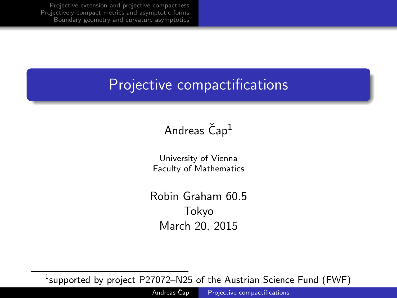## Projective compactifications

## Andreas  $\text{Čap}^1$

University of Vienna Faculty of Mathematics

<span id="page-0-0"></span>Robin Graham 60.5 Tokyo March 20, 2015

 $^1$ supported by project <code>P27072–N25</code> of the Austrian Science Fund (FWF)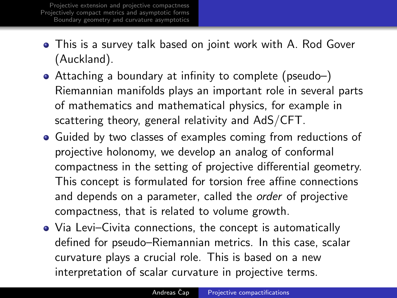- This is a survey talk based on joint work with A. Rod Gover (Auckland).
- Attaching a boundary at infinity to complete (pseudo–) Riemannian manifolds plays an important role in several parts of mathematics and mathematical physics, for example in scattering theory, general relativity and AdS/CFT.
- Guided by two classes of examples coming from reductions of projective holonomy, we develop an analog of conformal compactness in the setting of projective differential geometry. This concept is formulated for torsion free affine connections and depends on a parameter, called the *order* of projective compactness, that is related to volume growth.
- Via Levi–Civita connections, the concept is automatically defined for pseudo–Riemannian metrics. In this case, scalar curvature plays a crucial role. This is based on a new interpretation of scalar curvature in projective terms.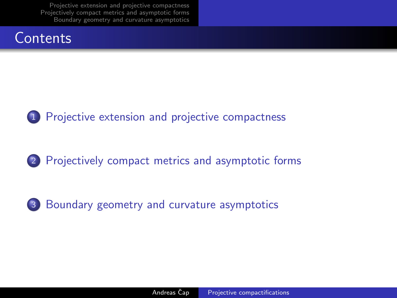



2 [Projectively compact metrics and asymptotic forms](#page-9-0)

3 [Boundary geometry and curvature asymptotics](#page-14-0)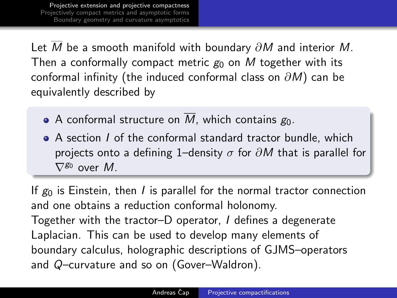Let  $\overline{M}$  be a smooth manifold with boundary  $\partial M$  and interior M. Then a conformally compact metric  $g_0$  on M together with its conformal infinity (the induced conformal class on  $\partial M$ ) can be equivalently described by

- A conformal structure on  $\overline{M}$ , which contains  $g_0$ .
- A section I of the conformal standard tractor bundle, which projects onto a defining 1–density  $\sigma$  for  $\partial M$  that is parallel for  $\nabla^{g_0}$  over M.

<span id="page-3-0"></span>If  $g_0$  is Einstein, then I is parallel for the normal tractor connection and one obtains a reduction conformal holonomy. Together with the tractor–D operator, I defines a degenerate Laplacian. This can be used to develop many elements of boundary calculus, holographic descriptions of GJMS–operators and Q–curvature and so on (Gover–Waldron).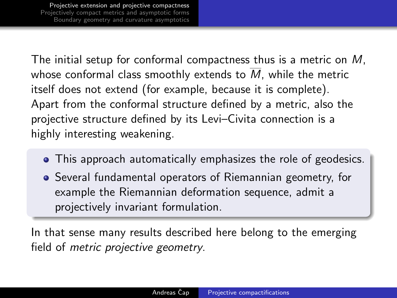The initial setup for conformal compactness thus is a metric on M, whose conformal class smoothly extends to M, while the metric itself does not extend (for example, because it is complete). Apart from the conformal structure defined by a metric, also the projective structure defined by its Levi–Civita connection is a highly interesting weakening.

- This approach automatically emphasizes the role of geodesics.
- Several fundamental operators of Riemannian geometry, for example the Riemannian deformation sequence, admit a projectively invariant formulation.

In that sense many results described here belong to the emerging field of metric projective geometry.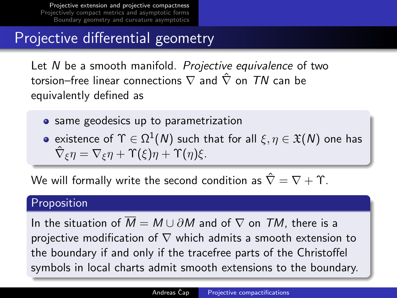# Projective differential geometry

Let N be a smooth manifold. Projective equivalence of two torsion–free linear connections  $\nabla$  and  $\hat{\nabla}$  on TN can be equivalently defined as

- **•** same geodesics up to parametrization
- existence of  $\Upsilon \in \Omega^1(\mathcal{N})$  such that for all  $\xi, \eta \in \mathfrak{X}(\mathcal{N})$  one has  $\hat{\nabla}_{\xi} \eta = \nabla_{\xi} \eta + \Upsilon(\xi) \eta + \Upsilon(\eta) \xi.$

We will formally write the second condition as  $\hat{\nabla} = \nabla + \Upsilon$ .

## **Proposition**

In the situation of  $\overline{M} = M \cup \partial M$  and of  $\nabla$  on  $TM$ , there is a projective modification of  $\nabla$  which admits a smooth extension to the boundary if and only if the tracefree parts of the Christoffel symbols in local charts admit smooth extensions to the boundary.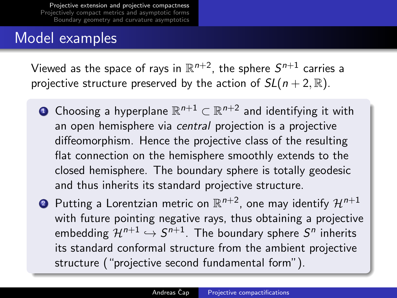## Model examples

Viewed as the space of rays in  $\mathbb{R}^{n+2}$ , the sphere  $\mathcal{S}^{n+1}$  carries a projective structure preserved by the action of  $SL(n + 2, \mathbb{R})$ .

- $\textbf{D}$  Choosing a hyperplane  $\mathbb{R}^{n+1} \subset \mathbb{R}^{n+2}$  and identifying it with an open hemisphere via central projection is a projective diffeomorphism. Hence the projective class of the resulting flat connection on the hemisphere smoothly extends to the closed hemisphere. The boundary sphere is totally geodesic and thus inherits its standard projective structure.
- $\bullet\hspace{0.1cm}$  Putting a Lorentzian metric on  $\mathbb{R}^{n+2}$ , one may identify  $\mathcal{H}^{n+1}$ with future pointing negative rays, thus obtaining a projective embedding  $\mathcal{H}^{n+1} \hookrightarrow \mathcal{S}^{n+1}.$  The boundary sphere  $\mathcal{S}^n$  inherits its standard conformal structure from the ambient projective structure ("projective second fundamental form").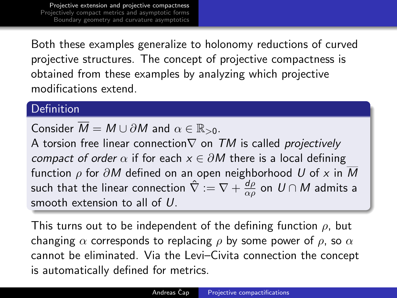Both these examples generalize to holonomy reductions of curved projective structures. The concept of projective compactness is obtained from these examples by analyzing which projective modifications extend.

### Definition

Consider  $\overline{M} = M \cup \partial M$  and  $\alpha \in \mathbb{R}_{>0}$ .

A torsion free linear connection $\nabla$  on  $TM$  is called projectively compact of order  $\alpha$  if for each  $x \in \partial M$  there is a local defining function  $\rho$  for  $\partial M$  defined on an open neighborhood U of x in M such that the linear connection  $\hat{\nabla} := \nabla + \frac{d\rho}{d\omega}$  $\frac{\mathsf{d} \rho}{\alpha \rho}$  on  $\mathsf{U} \cap \mathsf{M}$  admits a smooth extension to all of U.

This turns out to be independent of the defining function  $\rho$ , but changing  $\alpha$  corresponds to replacing  $\rho$  by some power of  $\rho$ , so  $\alpha$ cannot be eliminated. Via the Levi–Civita connection the concept is automatically defined for metrics.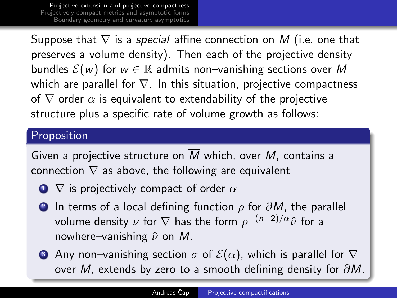Suppose that  $\nabla$  is a *special* affine connection on M (i.e. one that preserves a volume density). Then each of the projective density bundles  $\mathcal{E}(w)$  for  $w \in \mathbb{R}$  admits non–vanishing sections over M which are parallel for  $\nabla$ . In this situation, projective compactness of  $\nabla$  order  $\alpha$  is equivalent to extendability of the projective structure plus a specific rate of volume growth as follows:

### Proposition

Given a projective structure on  $\overline{M}$  which, over M, contains a connection  $\nabla$  as above, the following are equivalent

- $\bullet$   $\nabla$  is projectively compact of order  $\alpha$
- 2 In terms of a local defining function  $\rho$  for  $\partial M$ , the parallel volume density  $\nu$  for  $\nabla$  has the form  $\rho^{-(n+2)/\alpha} \hat{\nu}$  for a nowhere–vanishing  $\hat{\nu}$  on  $\overline{M}$ .
- **3** Any non–vanishing section  $\sigma$  of  $\mathcal{E}(\alpha)$ , which is parallel for  $\nabla$ over M, extends by zero to a smooth defining density for  $\partial M$ .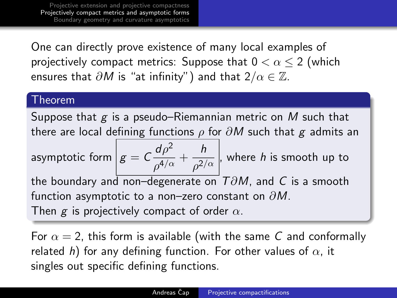One can directly prove existence of many local examples of projectively compact metrics: Suppose that  $0 < \alpha \leq 2$  (which ensures that  $\partial M$  is "at infinity") and that  $2/\alpha \in \mathbb{Z}$ .

#### Theorem

Suppose that  $g$  is a pseudo–Riemannian metric on M such that there are local defining functions  $\rho$  for  $\partial M$  such that g admits an

asymptotic form  $\left| g = C \frac{d\rho^2}{4\sqrt{g}} \right|$  $\frac{d\rho^2}{\rho^{4/\alpha}}+\frac{h}{\rho^{2/\alpha}}$  $\overline{\rho^{2/\alpha}}$  , where *h* is smooth up to the boundary and non–degenerate on  $T\partial M$ , and C is a smooth function asymptotic to a non–zero constant on  $\partial M$ . Then g is projectively compact of order  $\alpha$ .

<span id="page-9-0"></span>For  $\alpha = 2$ , this form is available (with the same C and conformally related h) for any defining function. For other values of  $\alpha$ , it singles out specific defining functions.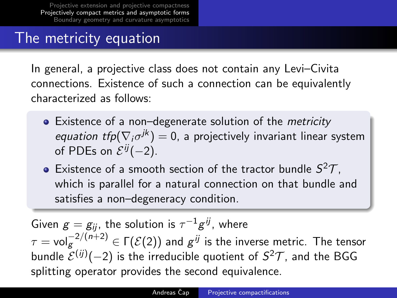## The metricity equation

In general, a projective class does not contain any Levi–Civita connections. Existence of such a connection can be equivalently characterized as follows:

- Existence of a non–degenerate solution of the *metricity equation tfp* $(\nabla_i \sigma^{jk}) = 0$ , a projectively invariant linear system of PDEs on  $\mathcal{E}^{ij}(-2)$ .
- Existence of a smooth section of the tractor bundle  $S^2\mathcal{T}$ , which is parallel for a natural connection on that bundle and satisfies a non–degeneracy condition.

Given  $g=g_{ij}$ , the solution is  $\tau^{-1}g^{ij}$ , where  $\tau = \mathsf{vol}_{\mathcal{g}}^{-2/(n+2)} \in \Gamma(\mathcal{E}(2))$  and  $\mathcal{g}^{ij}$  is the inverse metric. The tensor bundle  ${\cal E}^{(ij)}(-2)$  is the irreducible quotient of  ${\cal S}^2{\cal T}$ , and the BGG splitting operator provides the second equivalence.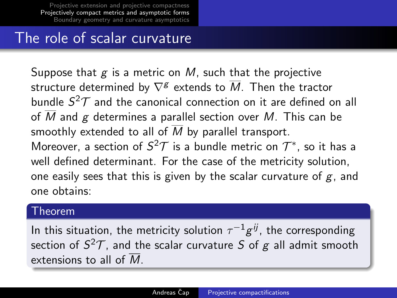## The role of scalar curvature

Suppose that  $g$  is a metric on  $M$ , such that the projective structure determined by  $\nabla^{\mathcal{g}}$  extends to  $\overline{\mathit{M}}.$  Then the tractor bundle  $S^2\mathcal{T}$  and the canonical connection on it are defined on all of  $\overline{M}$  and  $g$  determines a parallel section over  $M$ . This can be smoothly extended to all of  $\overline{M}$  by parallel transport. Moreover, a section of  $S^2\mathcal{T}$  is a bundle metric on  $\mathcal{T}^*$ , so it has a well defined determinant. For the case of the metricity solution, one easily sees that this is given by the scalar curvature of  $g$ , and one obtains:

### Theorem

In this situation, the metricity solution  $\tau^{-1} g^{i j}$ , the corresponding section of  $S^2\mathcal{T}$ , and the scalar curvature  $S$  of  $g$  all admit smooth extensions to all of  $\overline{M}$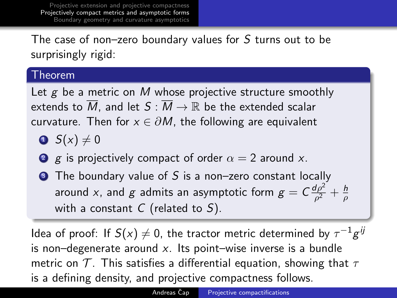The case of non–zero boundary values for S turns out to be surprisingly rigid:

### Theorem

Let  $g$  be a metric on  $M$  whose projective structure smoothly extends to  $\overline{M}$ , and let  $S : \overline{M} \to \mathbb{R}$  be the extended scalar curvature. Then for  $x \in \partial M$ , the following are equivalent

- $\bullet$  S(x)  $\neq$  0
- 2 g is projectively compact of order  $\alpha = 2$  around x.
- $\bullet$  The boundary value of S is a non-zero constant locally around x, and g admits an asymptotic form  $g = C \frac{d\rho^2}{\rho^2}$  $\frac{d\rho^2}{\rho^2}+\frac{h}{\rho}$ ρ with a constant  $C$  (related to  $S$ ).

Idea of proof: If  $S(x)\neq 0$ , the tractor metric determined by  $\tau^{-1} g^{ij}$ is non–degenerate around  $x$ . Its point–wise inverse is a bundle metric on  $\mathcal T$ . This satisfies a differential equation, showing that  $\tau$ is a defining density, and projective compactness follows.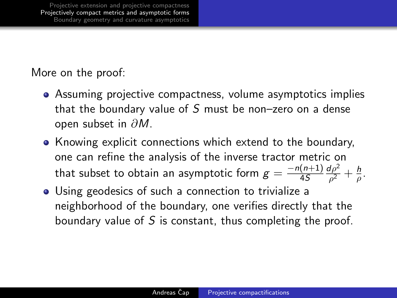More on the proof:

- Assuming projective compactness, volume asymptotics implies that the boundary value of  $S$  must be non-zero on a dense open subset in ∂M.
- Knowing explicit connections which extend to the boundary, one can refine the analysis of the inverse tractor metric on that subset to obtain an asymptotic form  $g = \frac{-n(n+1)}{4S}$ 4S  $d\rho^2$  $\frac{d\rho^2}{\rho^2}+\frac{h}{\rho}$  $\frac{\hbar}{\rho}$ .
- Using geodesics of such a connection to trivialize a neighborhood of the boundary, one verifies directly that the boundary value of S is constant, thus completing the proof.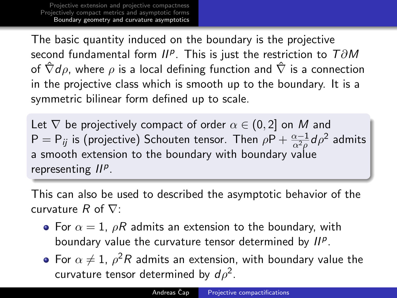The basic quantity induced on the boundary is the projective second fundamental form  $II^p$ . This is just the restriction to  $T \partial M$ of  $\hat{\nabla}d\rho$ , where  $\rho$  is a local defining function and  $\hat{\nabla}$  is a connection in the projective class which is smooth up to the boundary. It is a symmetric bilinear form defined up to scale.

Let  $\nabla$  be projectively compact of order  $\alpha \in (0, 2]$  on M and  $\mathsf{P}=\mathsf{P}_{ij}$  is (projective) Schouten tensor. Then  $\rho\mathsf{P}+\frac{\alpha-1}{\alpha^2\rho}d\rho^2$  admits a smooth extension to the boundary with boundary value representing  $II<sup>p</sup>$ .

This can also be used to described the asymptotic behavior of the curvature  $R$  of  $\nabla$ :

- For  $\alpha = 1$ ,  $\rho R$  admits an extension to the boundary, with boundary value the curvature tensor determined by  $II^p$ .
- <span id="page-14-0"></span>For  $\alpha \neq 1$ ,  $\rho^2 R$  admits an extension, with boundary value the curvature tensor determined by  $d\rho^2$ .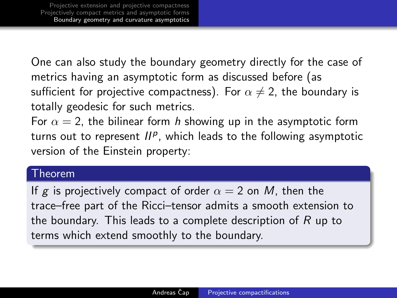One can also study the boundary geometry directly for the case of metrics having an asymptotic form as discussed before (as sufficient for projective compactness). For  $\alpha \neq 2$ , the boundary is totally geodesic for such metrics.

For  $\alpha = 2$ , the bilinear form h showing up in the asymptotic form turns out to represent  $II^p$ , which leads to the following asymptotic version of the Einstein property:

### Theorem

If g is projectively compact of order  $\alpha = 2$  on M, then the trace–free part of the Ricci–tensor admits a smooth extension to the boundary. This leads to a complete description of  $R$  up to terms which extend smoothly to the boundary.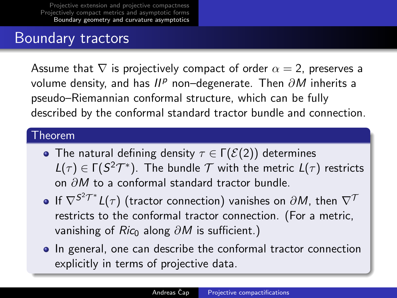## Boundary tractors

Assume that  $\nabla$  is projectively compact of order  $\alpha = 2$ , preserves a volume density, and has  $II^p$  non–degenerate. Then  $\partial M$  inherits a pseudo–Riemannian conformal structure, which can be fully described by the conformal standard tractor bundle and connection.

### Theorem

- The natural defining density  $\tau \in \Gamma(\mathcal{E}(2))$  determines  $L(\tau) \in \Gamma(S^2 \mathcal{T}^*)$ . The bundle  $\mathcal T$  with the metric  $L(\tau)$  restricts on ∂M to a conformal standard tractor bundle.
- If  $\nabla^{\mathsf{S}^2\mathcal{T}^*}L(\tau)$  (tractor connection) vanishes on  $\partial M$ , then  $\nabla^{\mathcal{T}}$ restricts to the conformal tractor connection. (For a metric, vanishing of Ric<sub>0</sub> along  $\partial M$  is sufficient.)
- In general, one can describe the conformal tractor connection explicitly in terms of projective data.